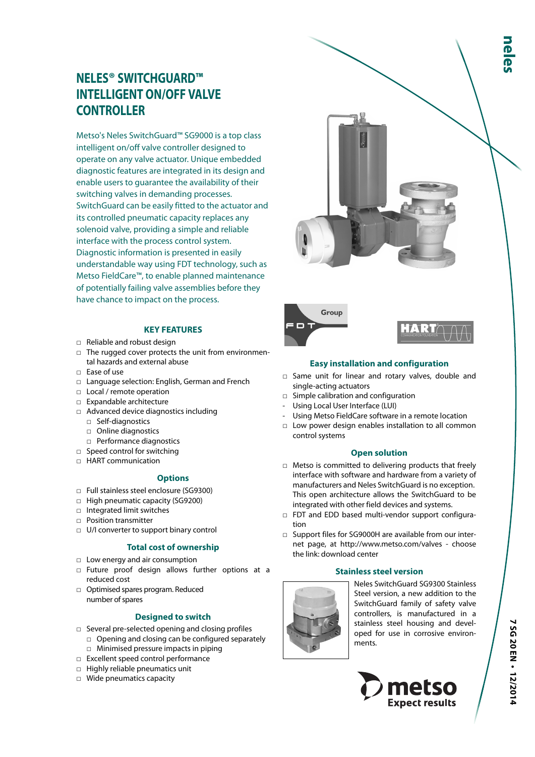# **NELES® SWITCHGUARD™ INTELLIGENT ON/OFF VALVE CONTROLLER**

Metso's Neles SwitchGuard™ SG9000 is a top class intelligent on/off valve controller designed to operate on any valve actuator. Unique embedded diagnostic features are integrated in its design and enable users to guarantee the availability of their switching valves in demanding processes. SwitchGuard can be easily fitted to the actuator and its controlled pneumatic capacity replaces any solenoid valve, providing a simple and reliable interface with the process control system. Diagnostic information is presented in easily understandable way using FDT technology, such as Metso FieldCare™, to enable planned maintenance of potentially failing valve assemblies before they have chance to impact on the process.

# **KEY FEATURES**

- □ Reliable and robust design
- □ The rugged cover protects the unit from environmental hazards and external abuse
- $\Box$  Ease of use
- □ Language selection: English, German and French
- □ Local / remote operation
- □ Expandable architecture
- □ Advanced device diagnostics including
	- □ Self-diagnostics
	- □ Online diagnostics
	- □ Performance diagnostics
- □ Speed control for switching
- □ HART communication

#### **Options**

- □ Full stainless steel enclosure (SG9300)
- □ High pneumatic capacity (SG9200)
- □ Integrated limit switches
- □ Position transmitter
- □ U/I converter to support binary control

# **Total cost of ownership**

- □ Low energy and air consumption
- □ Future proof design allows further options at a reduced cost
- □ Optimised spares program. Reduced number of spares

# **Designed to switch**

- □ Several pre-selected opening and closing profiles
- □ Opening and closing can be configured separately □ Minimised pressure impacts in piping
- □ Excellent speed control performance
- □ Highly reliable pneumatics unit
- □ Wide pneumatics capacity



# **Easy installation and configuration**

- □ Same unit for linear and rotary valves, double and single-acting actuators
- □ Simple calibration and configuration
- Using Local User Interface (LUI)

n

- Using Metso FieldCare software in a remote location
- □ Low power design enables installation to all common control systems

#### **Open solution**

- □ Metso is committed to delivering products that freely interface with software and hardware from a variety of manufacturers and Neles SwitchGuard is no exception. This open architecture allows the SwitchGuard to be integrated with other field devices and systems.
- □ FDT and EDD based multi-vendor support configuration
- □ Support files for SG9000H are available from our internet page, at http://www.metso.com/valves - choose the link: download center

# **Stainless steel version**



Neles SwitchGuard SG9300 Stainless Steel version, a new addition to the SwitchGuard family of safety valve controllers, is manufactured in a stainless steel housing and developed for use in corrosive environments.

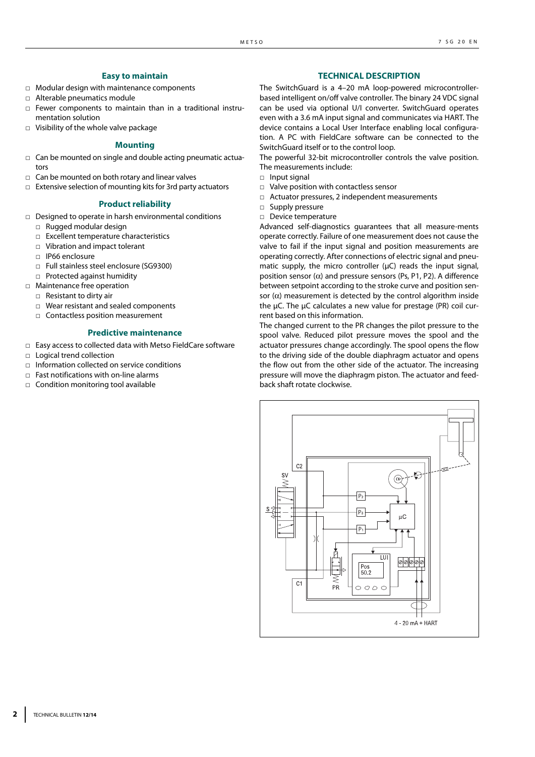# **Easy to maintain**

- □ Modular design with maintenance components
- □ Alterable pneumatics module
- □ Fewer components to maintain than in a traditional instrumentation solution
- □ Visibility of the whole valve package

#### **Mounting**

- $\Box$  Can be mounted on single and double acting pneumatic actuators
- $\Box$  Can be mounted on both rotary and linear valves
- □ Extensive selection of mounting kits for 3rd party actuators

#### **Product reliability**

- □ Designed to operate in harsh environmental conditions
	- □ Rugged modular design
	- □ Excellent temperature characteristics
	- □ Vibration and impact tolerant
	- □ IP66 enclosure
	- □ Full stainless steel enclosure (SG9300)
	- □ Protected against humidity
- □ Maintenance free operation
	- □ Resistant to dirty air
	- □ Wear resistant and sealed components
	- □ Contactless position measurement

#### **Predictive maintenance**

- □ Easy access to collected data with Metso FieldCare software
- □ Logical trend collection
- □ Information collected on service conditions
- $\Box$  Fast notifications with on-line alarms
- □ Condition monitoring tool available

#### **TECHNICAL DESCRIPTION**

The SwitchGuard is a 4–20 mA loop-powered microcontrollerbased intelligent on/off valve controller. The binary 24 VDC signal can be used via optional U/I converter. SwitchGuard operates even with a 3.6 mA input signal and communicates via HART. The device contains a Local User Interface enabling local configuration. A PC with FieldCare software can be connected to the SwitchGuard itself or to the control loop.

The powerful 32-bit microcontroller controls the valve position. The measurements include:

- □ Input signal
- □ Valve position with contactless sensor
- □ Actuator pressures, 2 independent measurements
- □ Supply pressure
- □ Device temperature

Advanced self-diagnostics guarantees that all measure-ments operate correctly. Failure of one measurement does not cause the valve to fail if the input signal and position measurements are operating correctly. After connections of electric signal and pneumatic supply, the micro controller (μC) reads the input signal, position sensor  $(α)$  and pressure sensors (Ps, P1, P2). A difference between setpoint according to the stroke curve and position sensor  $(\alpha)$  measurement is detected by the control algorithm inside the μC. The μC calculates a new value for prestage (PR) coil current based on this information.

The changed current to the PR changes the pilot pressure to the spool valve. Reduced pilot pressure moves the spool and the actuator pressures change accordingly. The spool opens the flow to the driving side of the double diaphragm actuator and opens the flow out from the other side of the actuator. The increasing pressure will move the diaphragm piston. The actuator and feedback shaft rotate clockwise.

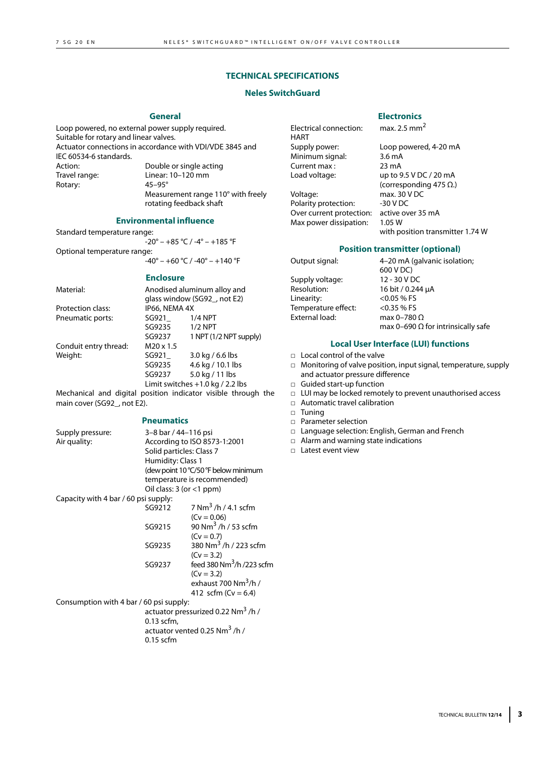# **TECHNICAL SPECIFICATIONS**

# **Neles SwitchGuard**

#### **General**

Loop powered, no external power supply required. Suitable for rotary and linear valves. Actuator connections in accordance with VDI/VDE 3845 and IEC 60534-6 standards. Action: Double or single acting<br>Travel range: Linear: 10–120 mm Linear: 10–120 mm<br>45–95° Rotary: Measurement range 110° with freely

#### **Environmental influence**

rotating feedback shaft

Standard temperature range:  $-20^{\circ} - +85^{\circ}$ C /  $-4^{\circ} - +185^{\circ}$ F Optional temperature range:  $-40^{\circ}$  – +60 °C / -40 $^{\circ}$  – +140 °F

#### **Enclosure**

| Material:             | Anodised aluminum alloy and |                                    |  |  |
|-----------------------|-----------------------------|------------------------------------|--|--|
|                       |                             | qlass window (SG92, not E2)        |  |  |
| Protection class:     | IP66, NEMA 4X               |                                    |  |  |
| Pneumatic ports:      | SG921                       | $1/4$ NPT                          |  |  |
|                       | SG9235                      | $1/2$ NPT                          |  |  |
|                       | SG9237                      | 1 NPT (1/2 NPT supply)             |  |  |
| Conduit entry thread: | $M20 \times 1.5$            |                                    |  |  |
| Weight:               | SG921                       | 3.0 kg / $6.6$ lbs                 |  |  |
|                       | SG9235                      | 4.6 kg / 10.1 lbs                  |  |  |
|                       | SG9237                      | 5.0 kg / 11 lbs                    |  |  |
|                       |                             | Limit switches $+1.0$ kg / 2.2 lbs |  |  |

Mechanical and digital position indicator visible through the main cover (SG92\_, not E2).

#### **Pneumatics**

| Supply pressure:                        | 3–8 bar / 44–116 psi          |                                               |  |
|-----------------------------------------|-------------------------------|-----------------------------------------------|--|
| Air quality:                            | According to ISO 8573-1:2001  |                                               |  |
|                                         | Solid particles: Class 7      |                                               |  |
|                                         | Humidity: Class 1             |                                               |  |
|                                         |                               | (dew point 10 °C/50 °F below minimum          |  |
|                                         |                               | temperature is recommended)                   |  |
|                                         | Oil class: $3$ (or $<$ 1 ppm) |                                               |  |
| Capacity with 4 bar / 60 psi supply:    |                               |                                               |  |
|                                         | SG9212                        | 7 Nm <sup>3</sup> /h/4.1 scfm                 |  |
|                                         |                               | $(Cv = 0.06)$                                 |  |
|                                         | SG9215                        | 90 Nm <sup>3</sup> /h / 53 scfm               |  |
|                                         |                               | $(Cv = 0.7)$                                  |  |
|                                         | SG9235                        | 380 Nm <sup>3</sup> /h/223 scfm               |  |
|                                         |                               | $(Cv = 3.2)$                                  |  |
|                                         | SG9237                        | feed 380 $Nm^3/h$ /223 scfm                   |  |
|                                         |                               | $(Cv = 3.2)$                                  |  |
|                                         |                               | exhaust 700 Nm <sup>3</sup> /h /              |  |
|                                         |                               | 412 scfm ( $Cv = 6.4$ )                       |  |
| Consumption with 4 bar / 60 psi supply: |                               |                                               |  |
|                                         |                               | actuator pressurized 0.22 Nm <sup>3</sup> /h/ |  |
|                                         | 0.13 scfm,                    |                                               |  |
|                                         |                               | actuator vented 0.25 Nm <sup>3</sup> /h /     |  |
|                                         | $0.15$ scfm                   |                                               |  |

Electrical connection: max. 2.5 mm<sup>2</sup> HART<br>Supply power: Minimum signal: 3.6 mA<br>Current max : 23 mA Current max :

Voltage: max. 30 V DC Polarity protection: -30 V DC Over current protection: active over 35 mA Max power dissipation: 1.05 W

# **Electronics**

Loop powered, 4-20 mA Load voltage: up to 9.5 V DC / 20 mA (corresponding 475 Ω.) with position transmitter 1.74 W

#### **Position transmitter (optional)**

| Output signal:      | 4-20 mA (galvanic isolation;              |
|---------------------|-------------------------------------------|
|                     | 600 V DC)                                 |
| Supply voltage:     | 12 - 30 V DC                              |
| Resolution:         | 16 bit / 0.244 µA                         |
| Linearity:          | $<$ 0.05 % FS                             |
| Temperature effect: | $<$ 0.35 % FS                             |
| External load:      | max 0-780 $\Omega$                        |
|                     | max 0-690 $\Omega$ for intrinsically safe |

### **Local User Interface (LUI) functions**

- □ Local control of the valve
- □ Monitoring of valve position, input signal, temperature, supply and actuator pressure difference
- □ Guided start-up function
- □ LUI may be locked remotely to prevent unauthorised access
- □ Automatic travel calibration
- □ Tuning
- □ Parameter selection
- □ Language selection: English, German and French
- □ Alarm and warning state indications
- □ Latest event view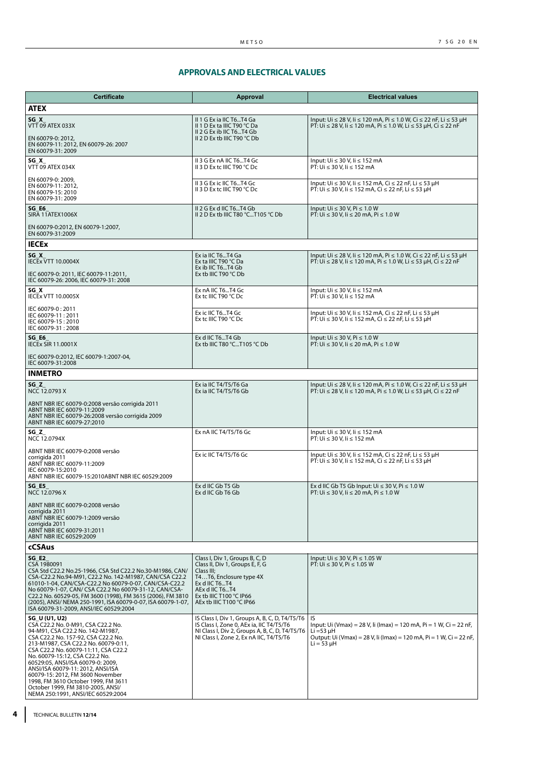# **APPROVALS AND ELECTRICAL VALUES**

| <b>Certificate</b>                                                                                                                                                                                                                                                                                                                                                                                                                                                               | <b>Approval</b>                                                                                                                                                                                      | <b>Electrical values</b>                                                                                                                                                              |  |  |
|----------------------------------------------------------------------------------------------------------------------------------------------------------------------------------------------------------------------------------------------------------------------------------------------------------------------------------------------------------------------------------------------------------------------------------------------------------------------------------|------------------------------------------------------------------------------------------------------------------------------------------------------------------------------------------------------|---------------------------------------------------------------------------------------------------------------------------------------------------------------------------------------|--|--|
| <b>ATEX</b>                                                                                                                                                                                                                                                                                                                                                                                                                                                                      |                                                                                                                                                                                                      |                                                                                                                                                                                       |  |  |
| SG X<br>VTT 09 ATEX 033X<br>EN 60079-0: 2012,<br>EN 60079-11: 2012, EN 60079-26: 2007<br>EN 60079-31: 2009                                                                                                                                                                                                                                                                                                                                                                       | II 1 G Ex ia IIC T6T4 Ga<br>II 1 D Ex ta IIIC T90 °C Da<br>II 2 G Ex ib IIC T6T4 Gb<br>II 2 D Ex tb IIIC T90 $°C$ Db                                                                                 | Input: Ui ≤ 28 V, Ii ≤ 120 mA, Pi ≤ 1.0 W, Ci ≤ 22 nF, Li ≤ 53 µH<br>PT: Ui ≤ 28 V, Ii ≤ 120 mA, Pi ≤ 1.0 W, Li ≤ 53 µH, Ci ≤ 22 nF                                                   |  |  |
| SG X<br>VTT 09 ATEX 034X                                                                                                                                                                                                                                                                                                                                                                                                                                                         | II 3 G Ex nA IIC T6T4 Gc<br>II 3 D Ex tc IIIC T90 °C Dc                                                                                                                                              | Input: Ui ≤ 30 V, Ii ≤ 152 mA<br>PT: Ui ≤ 30 V, li ≤ 152 mA                                                                                                                           |  |  |
| EN 60079-0: 2009,<br>EN 60079-11: 2012,<br>EN 60079-15: 2010<br>EN 60079-31: 2009                                                                                                                                                                                                                                                                                                                                                                                                | II 3 G Ex ic IIC T6T4 Gc<br>II 3 D Ex tc IIIC T90 °C Dc                                                                                                                                              | Input: Ui $\leq$ 30 V, Ii $\leq$ 152 mA, Ci $\leq$ 22 nF, Li $\leq$ 53 µH<br>PT: Ui ≤ 30 V, li ≤ 152 mA, Ci ≤ 22 nF, Li ≤ 53 µH                                                       |  |  |
| SG E6<br>SIRA 11ATEX1006X                                                                                                                                                                                                                                                                                                                                                                                                                                                        | II 2 G Ex d IIC T6T4 Gb<br>II 2 D Ex tb IIIC T80 °CT105 °C Db                                                                                                                                        | Input: $Ui \leq 30 V$ , Pi $\leq 1.0 W$<br>PT: Ui ≤ 30 V, li ≤ 20 mA, Pi ≤ 1.0 W                                                                                                      |  |  |
| EN 60079-0:2012, EN 60079-1:2007,<br>EN 60079-31:2009                                                                                                                                                                                                                                                                                                                                                                                                                            |                                                                                                                                                                                                      |                                                                                                                                                                                       |  |  |
| <b>IECEX</b>                                                                                                                                                                                                                                                                                                                                                                                                                                                                     |                                                                                                                                                                                                      |                                                                                                                                                                                       |  |  |
| $SG_X$<br><b>IECEx VTT 10.0004X</b><br>IEC 60079-0: 2011, IEC 60079-11:2011,<br>IEC 60079-26: 2006, IEC 60079-31: 2008                                                                                                                                                                                                                                                                                                                                                           | Ex ia IIC T6T4 Ga<br>Ex ta IIIC T90 °C Da<br>Ex ib IIC T6T4 Gb<br>Ex tb IIIC T90 $°C$ Db                                                                                                             | Input: Ui ≤ 28 V, Ii ≤ 120 mA, Pi ≤ 1.0 W, Ci ≤ 22 nF, Li ≤ 53 µH<br>PT: Ui ≤ 28 V, li ≤ 120 mA, Pi ≤ 1.0 W, Li ≤ 53 µH, Ci ≤ 22 nF                                                   |  |  |
| SG X<br><b>IECEX VTT 10.0005X</b>                                                                                                                                                                                                                                                                                                                                                                                                                                                | Ex nA IIC T6T4 Gc<br>Ex tc IIIC T90 °C Dc                                                                                                                                                            | Input: Ui ≤ 30 V, Ii ≤ 152 mA<br>PT: Ui ≤ 30 V, li ≤ 152 mA                                                                                                                           |  |  |
| IEC 60079-0: 2011<br>IEC 60079-11:2011<br>IEC 60079-15: 2010<br>IEC 60079-31: 2008                                                                                                                                                                                                                                                                                                                                                                                               | Ex ic IIC T6T4 Gc<br>Ex tc IIIC T90 °C Dc                                                                                                                                                            | Input: Ui ≤ 30 V, Ii ≤ 152 mA, Ci ≤ 22 nF, Li ≤ 53 µH<br>PT: Ui ≤ 30 V, li ≤ 152 mA, Ci ≤ 22 nF, Li ≤ 53 µH                                                                           |  |  |
| SG E6<br><b>IECEX SIR 11.0001X</b>                                                                                                                                                                                                                                                                                                                                                                                                                                               | Ex d IIC T6T4 Gb<br>Ex tb IIIC T80 $°C$ T105 $°C$ Db                                                                                                                                                 | Input: $Ui \leq 30 V$ , $ Pi \leq 1.0 W$<br>$PT: Ui \le 30 V, li \le 20 mA, Pi \le 1.0 W$                                                                                             |  |  |
| IEC 60079-0:2012, IEC 60079-1:2007-04,<br>IEC 60079-31:2008                                                                                                                                                                                                                                                                                                                                                                                                                      |                                                                                                                                                                                                      |                                                                                                                                                                                       |  |  |
| <b>INMETRO</b>                                                                                                                                                                                                                                                                                                                                                                                                                                                                   |                                                                                                                                                                                                      |                                                                                                                                                                                       |  |  |
| $SG_Z$<br>NCC 12.0793 X                                                                                                                                                                                                                                                                                                                                                                                                                                                          | Ex ia IIC T4/T5/T6 Ga<br>Ex ia IIC T4/T5/T6 Gb                                                                                                                                                       | Input: Ui ≤ 28 V, Ii ≤ 120 mA, Pi ≤ 1.0 W, Ci ≤ 22 nF, Li ≤ 53 µH<br>PT: Ui ≤ 28 V, li ≤ 120 mA, Pi ≤ 1.0 W, Li ≤ 53 µH, Ci ≤ 22 nF                                                   |  |  |
| ABNT NBR IEC 60079-0:2008 versão corrigida 2011<br>ABNT NBR IEC 60079-11:2009<br>ABNT NBR IEC 60079-26:2008 versão corrigida 2009<br>ABNT NBR IEC 60079-27:2010                                                                                                                                                                                                                                                                                                                  |                                                                                                                                                                                                      |                                                                                                                                                                                       |  |  |
| SG Z<br>NCC 12.0794X                                                                                                                                                                                                                                                                                                                                                                                                                                                             | Ex nA IIC T4/T5/T6 Gc                                                                                                                                                                                | Input: Ui ≤ 30 V, Ii ≤ 152 mA<br>PT: Ui ≤ 30 V, li ≤ 152 mA                                                                                                                           |  |  |
| ABNT NBR IEC 60079-0:2008 versão<br>corrigida 2011<br>ABNT NBR IEC 60079-11:2009<br>IEC 60079-15:2010<br>ABNT NBR IEC 60079-15:2010ABNT NBR IEC 60529:2009                                                                                                                                                                                                                                                                                                                       | Ex ic IIC T4/T5/T6 Gc                                                                                                                                                                                | Input: Ui ≤ 30 V, Ii ≤ 152 mA, Ci ≤ 22 nF, Li ≤ 53 µH<br>PT: Ui ≤ 30 V, li ≤ 152 mA, Ci ≤ 22 nF, Li ≤ 53 µH                                                                           |  |  |
| SG E5<br>NCC 12.0796 X                                                                                                                                                                                                                                                                                                                                                                                                                                                           | Ex d IIC Gb T5 Gb<br>Ex d IIC Gb T6 Gb                                                                                                                                                               | Ex d IIC Gb T5 Gb Input: $Ui \le 30 V$ , Pi $\le 1.0 W$<br>PT: Ui ≤ 30 V, li ≤ 20 mA, Pi ≤ 1.0 W                                                                                      |  |  |
| ABNT NBR IEC 60079-0:2008 versão<br>corrigida 2011<br>ABNT NBR IEC 60079-1:2009 versão<br>corrigida 2011<br>ABNT NBR IEC 60079-31:2011<br>ABNT NBR IEC 60529:2009                                                                                                                                                                                                                                                                                                                |                                                                                                                                                                                                      |                                                                                                                                                                                       |  |  |
| cCSAus                                                                                                                                                                                                                                                                                                                                                                                                                                                                           |                                                                                                                                                                                                      |                                                                                                                                                                                       |  |  |
| SG E2<br>CSA 1980091<br>CSA Std C22.2 No.25-1966, CSA Std C22.2 No.30-M1986, CAN/<br>CSA-C22.2 No.94-M91, C22.2 No. 142-M1987, CAN/CSA C22.2<br>61010-1-04, CAN/CSA-C22.2 No 60079-0-07, CAN/CSA-C22.2<br>No 60079-1-07, CAN/ CSA C22.2 No 60079-31-12, CAN/CSA-<br>C22.2 No. 60529-05, FM 3600 (1998), FM 3615 (2006), FM 3810<br>(2005), ANSI/NEMA 250-1991, ISA 60079-0-07, ISA 60079-1-07,<br>ISA 60079-31-2009, ANSI/IEC 60529:2004                                         | Class I, Div 1, Groups B, C, D<br>Class II, Div 1, Groups E, F, G<br>Class III;<br>T4T6, Enclosure type 4X<br>Ex d IIC T6T4<br>AEx d IIC T6T4<br>Ex tb IIIC T100 °C IP66<br>AEx tb IIIC T100 °C IP66 | Input: Ui ≤ 30 V, Pi ≤ 1.05 W<br>PT: Ui ≤ 30 V, Pi ≤ 1.05 W                                                                                                                           |  |  |
| SG_U (U1, U2)<br>CSA C22.2 No. 0-M91, CSA C22.2 No.<br>94-M91, CSA C22.2 No. 142-M1987,<br>CSA C22.2 No. 157-92, CSA C22.2 No.<br>213-M1987, CSA C22.2 No. 60079-0:11,<br>CSA C22.2 No. 60079-11:11, CSA C22.2<br>No. 60079-15:12, CSA C22.2 No.<br>60529:05, ANSI/ISA 60079-0: 2009,<br>ANSI/ISA 60079-11: 2012, ANSI/ISA<br>60079-15: 2012, FM 3600 November<br>1998, FM 3610 October 1999, FM 3611<br>October 1999, FM 3810-2005, ANSI/<br>NEMA 250:1991, ANSI/IEC 60529:2004 | IS Class I, Div 1, Groups A, B, C, D, T4/T5/T6<br>IS Class I, Zone 0, AEx ia, IIC T4/T5/T6<br>NI Class I, Div 2, Groups A, B, C, D, T4/T5/T6<br>NI Class I, Zone 2, Ex nA IIC, T4/T5/T6              | IS<br>Input: Ui (Vmax) = 28 V, li (Imax) = 120 mA, Pi = 1 W, Ci = 22 nF,<br>$Li = 53 \mu H$<br>Output: Ui (Vmax) = 28 V, li (Imax) = 120 mA, Pi = 1 W, Ci = 22 nF,<br>$Li = 53 \mu H$ |  |  |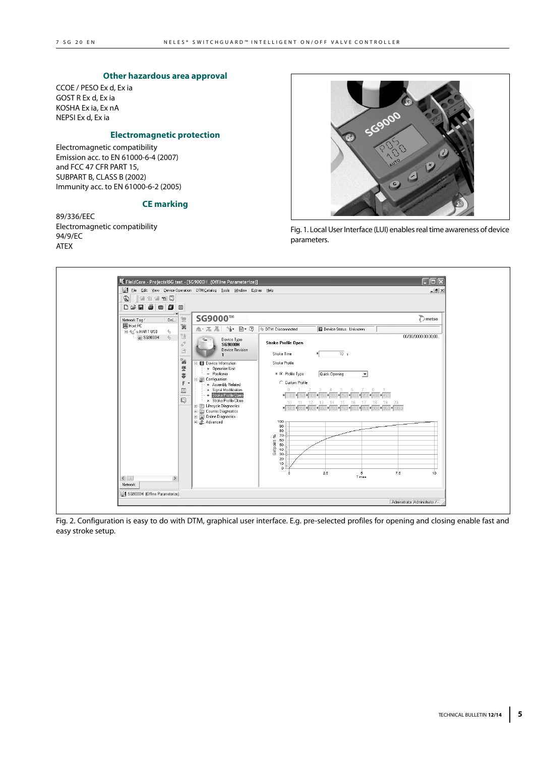#### **Other hazardous area approval**

CCOE / PESO Ex d, Ex ia GOST R Ex d, Ex ia KOSHA Ex ia, Ex nA NEPSI Ex d, Ex ia

#### **Electromagnetic protection**

Electromagnetic compatibility Emission acc. to EN 61000-6-4 (2007) and FCC 47 CFR PART 15, SUBPART B, CLASS B (2002) Immunity acc. to EN 61000-6-2 (2005)

#### **CE marking**

89/336/EEC Electromagnetic compatibility 94/9/EC ATEX



Fig. 1. Local User Interface (LUI) enables real time awareness of device parameters.



Fig. 2. Configuration is easy to do with DTM, graphical user interface. E.g. pre-selected profiles for opening and closing enable fast and easy stroke setup.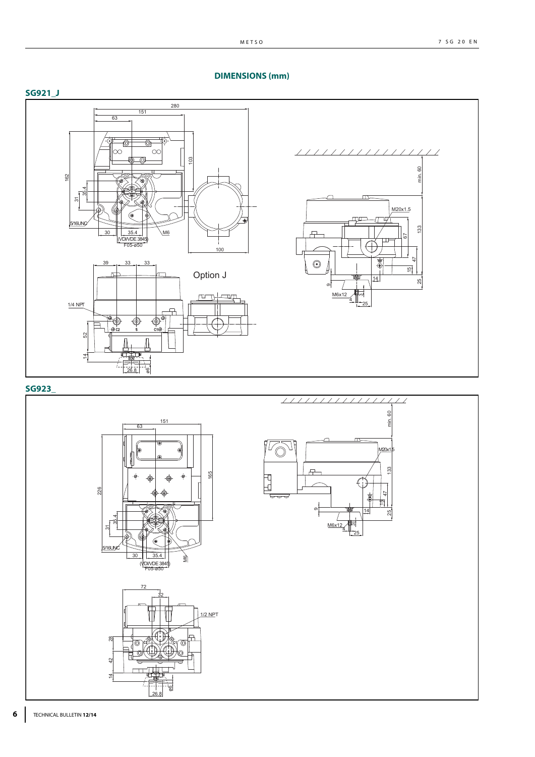**DIMENSIONS (mm)**



# **SG923\_**



# **6** TECHNICAL BULLETIN **12/14**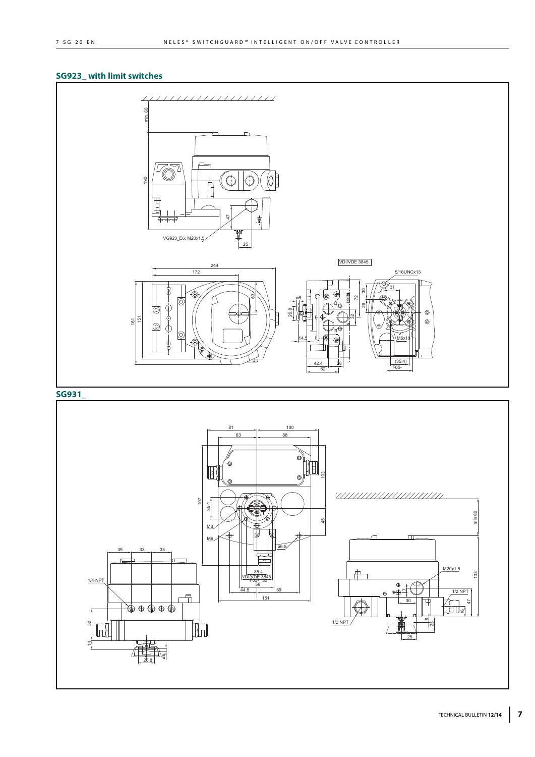# **SG923\_ with limit switches**



# **SG931\_**

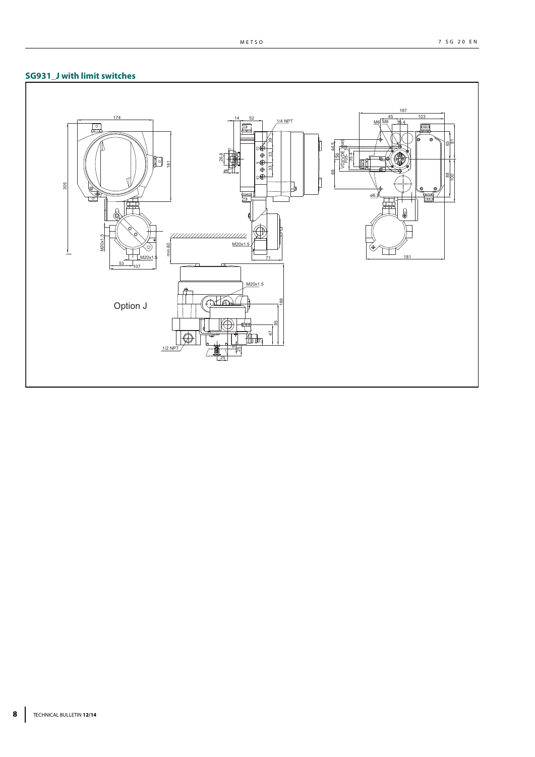

#### METSO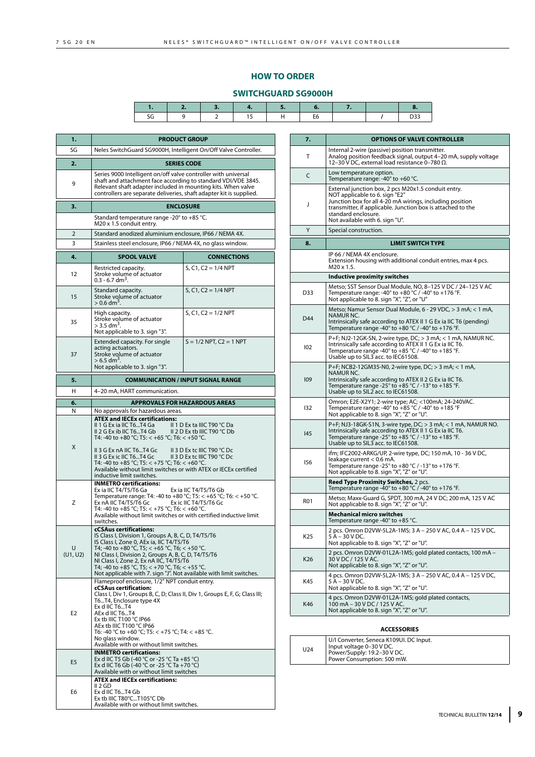# **HOW TO ORDER**

# **SWITCHGUARD SG9000H**

| 1.             |                                                                                                                                                                                                                                                                                                                                                                                                               | <b>PRODUCT GROUP</b>                                                                                                    |  |
|----------------|---------------------------------------------------------------------------------------------------------------------------------------------------------------------------------------------------------------------------------------------------------------------------------------------------------------------------------------------------------------------------------------------------------------|-------------------------------------------------------------------------------------------------------------------------|--|
| SG             | Neles SwitchGuard SG9000H, Intelligent On/Off Valve Controller.                                                                                                                                                                                                                                                                                                                                               |                                                                                                                         |  |
| 2.             | <b>SERIES CODE</b>                                                                                                                                                                                                                                                                                                                                                                                            |                                                                                                                         |  |
| 9              | Series 9000 Intelligent on/off valve controller with universal<br>shaft and attachment face according to standard VDI/VDE 3845.<br>Relevant shaft adapter included in mounting kits. When valve<br>controllers are separate deliveries, shaft adapter kit is supplied.                                                                                                                                        |                                                                                                                         |  |
| 3.             |                                                                                                                                                                                                                                                                                                                                                                                                               | <b>ENCLOSURE</b>                                                                                                        |  |
|                | Standard temperature range -20° to +85 °C.<br>M20 x 1.5 conduit entry.                                                                                                                                                                                                                                                                                                                                        |                                                                                                                         |  |
| 2              | Standard anodized aluminium enclosure, IP66 / NEMA 4X.                                                                                                                                                                                                                                                                                                                                                        |                                                                                                                         |  |
| 3              | Stainless steel enclosure, IP66 / NEMA 4X, no glass window.                                                                                                                                                                                                                                                                                                                                                   |                                                                                                                         |  |
| 4.             | <b>SPOOL VALVE</b>                                                                                                                                                                                                                                                                                                                                                                                            | <b>CONNECTIONS</b>                                                                                                      |  |
| 12             | Restricted capacity.<br>Stroke volume of actuator<br>$0.3$ - 6.7 dm <sup>3</sup>                                                                                                                                                                                                                                                                                                                              | $S, C1, C2 = 1/4$ NPT                                                                                                   |  |
| 15             | Standard capacity.<br>Stroke volume of actuator<br>$> 0.6$ dm <sup>3</sup> .                                                                                                                                                                                                                                                                                                                                  | $S, C1, C2 = 1/4$ NPT                                                                                                   |  |
| 35             | High capacity.<br>Stroke volume of actuator<br>$>$ 3.5 dm <sup>3</sup> .<br>Not applicable to 3. sign "3".                                                                                                                                                                                                                                                                                                    | $S, C1, C2 = 1/2$ NPT                                                                                                   |  |
| 37             | Extended capacity. For single<br>acting actuators.<br>Stroke volume of actuator<br>$>$ 6.5 dm <sup>3</sup><br>Not applicable to 3. sign "3".                                                                                                                                                                                                                                                                  | $S = 1/2$ NPT, $C2 = 1$ NPT                                                                                             |  |
| 5.             |                                                                                                                                                                                                                                                                                                                                                                                                               | <b>COMMUNICATION / INPUT SIGNAL RANGE</b>                                                                               |  |
| н              | 4-20 mA, HART communication.                                                                                                                                                                                                                                                                                                                                                                                  |                                                                                                                         |  |
| 6.             |                                                                                                                                                                                                                                                                                                                                                                                                               | <b>APPROVALS FOR HAZARDOUS AREAS</b>                                                                                    |  |
| N              | No approvals for hazardous areas.                                                                                                                                                                                                                                                                                                                                                                             |                                                                                                                         |  |
| X              | <b>ATEX and IECEx certifications:</b><br>II 1 G Ex ia IIC T6T4 Ga<br>II 2 G Ex ib IIC T6T4 Gb<br>T4: -40 to +80 °C; T5: < +65 °C; T6: < +50 °C.<br>II 3 G Ex nA IIC T6T4 Gc<br>II 3 G Ex ic IIC T6T4 Gc<br>T4: -40 to +85 °C; T5: < +75 °C; T6: < +60 °C.<br>Available without limit switches or with ATEX or IECEx certified<br>inductive limit switches.                                                    | II 1 D Ex ta IIIC T90 ℃ Da<br>II 2 D Ex tb IIIC T90 °C Db<br>II 3 D Ex tc IIIC T90 °C Dc<br>II 3 D Ex tc IIIC T90 °C Dc |  |
| Z              | <b>INMETRO certifications:</b><br>Ex ia IIC T4/T5/T6 Ga<br>Temperature range: T4: -40 to +80 °C; T5: < +65 °C; T6: < +50 °C.<br>Ex nA IIC T4/T5/T6 Gc<br>T4: -40 to +85 °C; T5: < +75 °C; T6: < +60 °C.<br>Available without limit switches or with certified inductive limit<br>switches.                                                                                                                    | Ex ia IIC T4/T5/T6 Gb<br>Ex ic IIC T4/T5/T6 Gc                                                                          |  |
| U<br>(U1, U2)  | <b>cCSAus certifications:</b><br>IS Class I, Division 1, Groups A, B, C, D, T4/T5/T6<br>IS Class I, Zone 0, AEx ia, IIC T4/T5/T6<br>T4; -40 to +80 °C, T5; < +65 °C, T6; < +50 °C.<br>NI Class I, Division 2, Groups A, B, C, D, T4/T5/T6<br>NI Class I, Zone 2, Ex nA IIC, T4/T5/T6<br>T4; -40 to +85 °C, T5; < +70 °C, T6; < +55 °C.<br>Not applicable with 7. sign "J". Not available with limit switches. |                                                                                                                         |  |
| E <sub>2</sub> | Flameproof enclosure, 1/2" NPT conduit entry.<br><b>cCSAus certification:</b><br>Class I, Div 1, Groups B, C, D; Class II, Div 1, Groups E, F, G; Class III;<br>T6T4, Enclosure type 4X<br>Ex d IIC T6T4<br>AEx d IIC T6T4<br>Ex tb IIIC T100 °C IP66<br>AEx tb IIIC T100 °C IP66<br>T6: -40 °C to +60 °C; T5: < +75 °C; T4: < +85 °C.<br>No glass window.<br>Available with or without limit switches.       |                                                                                                                         |  |
| E <sub>5</sub> | <b>INMETRO certifications:</b><br>Ex d IIC T5 Gb (-40 °C or -25 °C Ta +85 °C)<br>Ex d IIC T6 Gb (-40 °C or -25 °C Ta +70 °C)<br>Available with or without limit switches                                                                                                                                                                                                                                      |                                                                                                                         |  |
| E6             | <b>ATEX and IECEx certifications:</b><br>II 2 GD<br>Ex d IIC T6T4 Gb<br>Ex tb IIIC T80°CT105°C Db<br>Available with or without limit switches.                                                                                                                                                                                                                                                                |                                                                                                                         |  |

| 7.         | <b>OPTIONS OF VALVE CONTROLLER</b>                                                                                                                                                                                                                                         |
|------------|----------------------------------------------------------------------------------------------------------------------------------------------------------------------------------------------------------------------------------------------------------------------------|
| Т          | Internal 2-wire (passive) position transmitter.<br>Analog position feedback signal, output 4–20 mA, supply voltage<br>12-30 V DC, external load resistance 0-780 Ω.                                                                                                        |
| C          | Low temperature option.<br>Temperature range: -40° to +60 °C.                                                                                                                                                                                                              |
| J          | External junction box, 2 pcs M20x1.5 conduit entry.<br>NOT applicable to 6. sign "E2"<br>Junction box for all 4-20 mA wirings, including position<br>transmitter, if applicable. Junction box is attached to the<br>standard enclosure.<br>Not available with 6. sign "U". |
| Y          | Special construction.                                                                                                                                                                                                                                                      |
| 8.         | <b>LIMIT SWITCH TYPE</b>                                                                                                                                                                                                                                                   |
|            | IP 66 / NEMA 4X enclosure.<br>Extension housing with additional conduit entries, max 4 pcs.<br>M20 x 1.5.                                                                                                                                                                  |
|            | Inductive proximity switches                                                                                                                                                                                                                                               |
| D33        | Metso; SST Sensor Dual Module, NO, 8-125 V DC / 24-125 V AC<br>Temperature range: -40 $^{\circ}$ to +80 $^{\circ}$ C / -40 $^{\circ}$ to +176 $^{\circ}$ F.<br>Not applicable to 8. sign "X", "Z", or "U"                                                                  |
| D44        | Metso; Namur Sensor Dual Module, 6 - 29 VDC, > 3 mA; < 1 mA,<br>NAMUR NC.<br>Intrinsically safe according to ATEX II 1 G Ex ia IIC T6 (pending)<br>Temperature range -40 $^{\circ}$ to +80 $^{\circ}$ C / -40 $^{\circ}$ to +176 $^{\circ}$ F.                             |
| 102        | P+F; NJ2-12GK-SN, 2-wire type, DC; > 3 mA; < 1 mA, NAMUR NC.<br>Intrinsically safe according to ATEX II 1 G Ex ia IIC T6.<br>Temperature range -40 $\degree$ to +85 $\degree$ C / -40 $\degree$ to +185 $\degree$ F.<br>Usable up to SIL3 acc. to IEC61508.                |
| 109        | P+F; NCB2-12GM35-N0, 2-wire type, DC; > 3 mA; < 1 mA,<br><b>NAMUR NC.</b><br>Intrinsically safe according to ATEX II 2 G Ex ia IIC T6.<br>Temperature range -25° to +85 °C / -13° to +185 °F.<br>Usable up to SIL2 acc. to IEC61508.                                       |
| 132        | Omron; E2E-X2Y1; 2-wire type; AC; <100mA; 24-240VAC.<br>Temperature range: -40 $^{\circ}$ to +85 $^{\circ}$ C / -40 $^{\circ}$ to +185 $^{\circ}$ F<br>Not applicable to 8. sign "X", "Z" or "U".                                                                          |
| 145        | P+F; NJ3-18GK-S1N, 3-wire type, DC; > 3 mA; < 1 mA, NAMUR NO.<br>Intrinsically safe according to ATEX II 1 G Ex ia IIC T6.<br>Temperature range -25 $\degree$ to +85 $\degree$ C / -13 $\degree$ to +185 $\degree$ F.<br>Usable up to SIL3 acc. to IEC61508.               |
| 156        | ifm; IFC2002-ARKG/UP, 2-wire type, DC; 150 mA, 10 - 36 V DC,<br>leakage current < 0.6 mA.<br>Temperature range -25 $^{\circ}$ to +80 $^{\circ}$ C / -13 $^{\circ}$ to +176 $^{\circ}$ F.<br>Not applicable to 8. sign "X", "Z" or "U".                                     |
|            | <b>Reed Type Proximity Switches, 2 pcs.</b><br>Temperature range -40 $\degree$ to +80 $\degree$ C / -40 $\degree$ to +176 $\degree$ F.                                                                                                                                     |
| <b>R01</b> | Metso; Maxx-Guard G, SPDT, 300 mA, 24 V DC; 200 mA, 125 V AC<br>Not applicable to 8. sign "X", "Z" or "U".                                                                                                                                                                 |
|            | <b>Mechanical micro switches</b><br>Temperature range -40 $\degree$ to +85 $\degree$ C.                                                                                                                                                                                    |
| K25        | 2 pcs. Omron D2VW-5L2A-1MS; 3 A - 250 V AC, 0.4 A - 125 V DC,<br>5 A – 30 V DC.<br>Not applicable to 8. sign "X", "Z" or "U".                                                                                                                                              |
| K26        | 2 pcs. Omron D2VW-01L2A-1MS; gold plated contacts, 100 mA -<br>30 V DC / 125 V AC.<br>Not applicable to 8. sign "X", "Z" or "U".                                                                                                                                           |
| K45        | 4 pcs. Omron D2VW-5L2A-1MS; 3 A - 250 V AC, 0.4 A - 125 V DC,<br>5 A – 30 V DC.<br>Not applicable to 8. sign "X", "Z" or "U".                                                                                                                                              |
| K46        | 4 pcs. Omron D2VW-01L2A-1MS; gold plated contacts,<br>100 mA - 30 V DC / 125 V AC.<br>Not applicable to 8. sign "X", "Z" or "U".                                                                                                                                           |

# **ACCESSORIES**

| U24 | U/I Converter, Seneca K109UI. DC Input.<br>Input voltage 0-30 V DC.<br>Power/Supply: 19.2-30 V DC.<br>Power Consumption: 500 mW. |
|-----|----------------------------------------------------------------------------------------------------------------------------------|
|-----|----------------------------------------------------------------------------------------------------------------------------------|